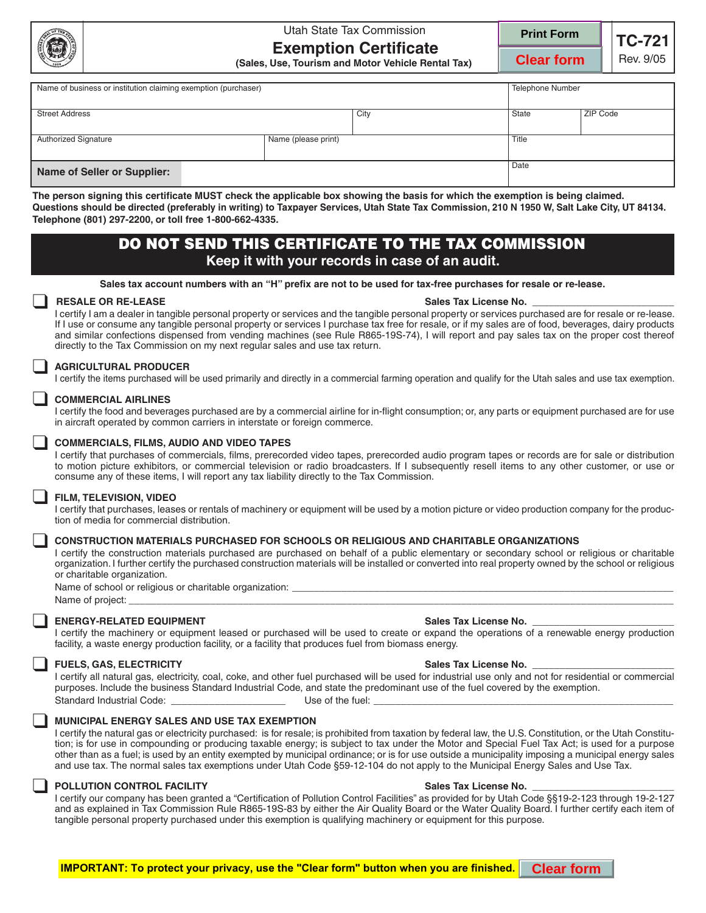

# Utah State Tax Commission **Exemption Certificate**



**Clear form**

**TC-721** Rev. 9/05

|                                                                                                                                                                | (Sales, Use, Tourism and Motor Vehicle Rental Tax)                                                                                                                                                                                                                                                                                                                                                                                                                                                                                                                                                |                                                                                                                                                           | <b>Clear form</b> |                         | <b>Hev.</b> 9/05 |  |
|----------------------------------------------------------------------------------------------------------------------------------------------------------------|---------------------------------------------------------------------------------------------------------------------------------------------------------------------------------------------------------------------------------------------------------------------------------------------------------------------------------------------------------------------------------------------------------------------------------------------------------------------------------------------------------------------------------------------------------------------------------------------------|-----------------------------------------------------------------------------------------------------------------------------------------------------------|-------------------|-------------------------|------------------|--|
| Name of business or institution claiming exemption (purchaser)                                                                                                 |                                                                                                                                                                                                                                                                                                                                                                                                                                                                                                                                                                                                   |                                                                                                                                                           |                   | <b>Telephone Number</b> |                  |  |
| <b>Street Address</b>                                                                                                                                          |                                                                                                                                                                                                                                                                                                                                                                                                                                                                                                                                                                                                   |                                                                                                                                                           | City              | <b>State</b>            | <b>ZIP Code</b>  |  |
|                                                                                                                                                                | <b>Authorized Signature</b>                                                                                                                                                                                                                                                                                                                                                                                                                                                                                                                                                                       | Name (please print)                                                                                                                                       |                   |                         | Title            |  |
|                                                                                                                                                                | <b>Name of Seller or Supplier:</b>                                                                                                                                                                                                                                                                                                                                                                                                                                                                                                                                                                |                                                                                                                                                           |                   | Date                    |                  |  |
| Telephone (801) 297-2200, or toll free 1-800-662-4335.<br>DO NOT SEND THIS CERTIFICATE TO THE TAX COMMISSION<br>Keep it with your records in case of an audit. |                                                                                                                                                                                                                                                                                                                                                                                                                                                                                                                                                                                                   |                                                                                                                                                           |                   |                         |                  |  |
|                                                                                                                                                                |                                                                                                                                                                                                                                                                                                                                                                                                                                                                                                                                                                                                   |                                                                                                                                                           |                   |                         |                  |  |
|                                                                                                                                                                | Sales tax account numbers with an "H" prefix are not to be used for tax-free purchases for resale or re-lease.                                                                                                                                                                                                                                                                                                                                                                                                                                                                                    |                                                                                                                                                           |                   |                         |                  |  |
|                                                                                                                                                                | <b>RESALE OR RE-LEASE</b><br>Sales Tax License No.<br>I certify I am a dealer in tangible personal property or services and the tangible personal property or services purchased are for resale or re-lease.<br>If I use or consume any tangible personal property or services I purchase tax free for resale, or if my sales are of food, beverages, dairy products<br>and similar confections dispensed from vending machines (see Rule R865-19S-74), I will report and pay sales tax on the proper cost thereof<br>directly to the Tax Commission on my next regular sales and use tax return. |                                                                                                                                                           |                   |                         |                  |  |
|                                                                                                                                                                | <b>AGRICULTURAL PRODUCER</b>                                                                                                                                                                                                                                                                                                                                                                                                                                                                                                                                                                      | I certify the items purchased will be used primarily and directly in a commercial farming operation and qualify for the Utah sales and use tax exemption. |                   |                         |                  |  |
|                                                                                                                                                                | <b>COMMERCIAL AIRLINES</b>                                                                                                                                                                                                                                                                                                                                                                                                                                                                                                                                                                        | I certify the food and beverages purchased are by a commercial airline for in-flight consumption; or, any parts or equipment purchased are for use        |                   |                         |                  |  |

in aircraft operated by common carriers in interstate or foreign commerce.

### ❑ **COMMERCIALS, FILMS, AUDIO AND VIDEO TAPES**

I certify that purchases of commercials, films, prerecorded video tapes, prerecorded audio program tapes or records are for sale or distribution to motion picture exhibitors, or commercial television or radio broadcasters. If I subsequently resell items to any other customer, or use or consume any of these items, I will report any tax liability directly to the Tax Commission.

### ❑ **FILM, TELEVISION, VIDEO**

I certify that purchases, leases or rentals of machinery or equipment will be used by a motion picture or video production company for the production of media for commercial distribution.

### ❑ **CONSTRUCTION MATERIALS PURCHASED FOR SCHOOLS OR RELIGIOUS AND CHARITABLE ORGANIZATIONS**

I certify the construction materials purchased are purchased on behalf of a public elementary or secondary school or religious or charitable organization. I further certify the purchased construction materials will be installed or converted into real property owned by the school or religious or charitable organization.

Name of school or religious or charitable organization:

Name of project:

ENERGY-RELATED EQUIPMENT<br>I certify the machinery or equipment leased or purchased will be used to create or expand the operations of a renewable energy production facility, a waste energy production facility, or a facility that produces fuel from biomass energy.

FUELS, GAS, ELECTRICITY<br>I certify all natural gas, electricity, coal, coke, and other fuel purchased will be used for industrial use only and not for residential or commercial purposes. Include the business Standard Industrial Code, and state the predominant use of the fuel covered by the exemption. Standard Industrial Code: \_\_\_\_\_\_\_\_\_\_\_\_\_\_\_\_\_\_\_\_\_\_\_\_\_\_\_\_\_\_\_\_\_\_\_Use of the fuel:

## ❑ **MUNICIPAL ENERGY SALES AND USE TAX EXEMPTION**

I certify the natural gas or electricity purchased: is for resale; is prohibited from taxation by federal law, the U.S. Constitution, or the Utah Constitution; is for use in compounding or producing taxable energy; is subject to tax under the Motor and Special Fuel Tax Act; is used for a purpose other than as a fuel; is used by an entity exempted by municipal ordinance; or is for use outside a municipality imposing a municipal energy sales and use tax. The normal sales tax exemptions under Utah Code §59-12-104 do not apply to the Municipal Energy Sales and Use Tax.

POLLUTION CONTROL FACILITY<br>I certify our company has been granted a "Certification of Pollution Control Facilities" as provided for by Utah Code §§19-2-123 through 19-2-127 and as explained in Tax Commission Rule R865-19S-83 by either the Air Quality Board or the Water Quality Board. I further certify each item of tangible personal property purchased under this exemption is qualifying machinery or equipment for this purpose.